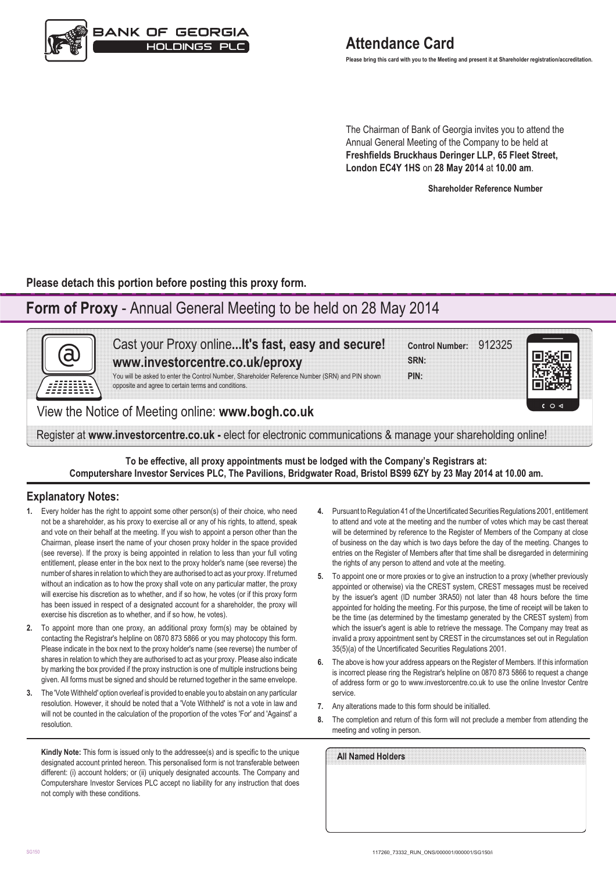

**Please bring this card with you to the Meeting and present it at Shareholder registration/accreditation.**

The Chairman of Bank of Georgia invites you to attend the Annual General Meeting of the Company to be held at **Freshfields Bruckhaus Deringer LLP, 65 Fleet Street, London EC4Y 1HS** on **28 May 2014** at **10.00 am**.

**Shareholder Reference Number**

**Please detach this portion before posting this proxy form.**

# **Form of Proxy** - Annual General Meeting to be held on 28 May 2014



**To be effective, all proxy appointments must be lodged with the Company's Registrars at: Computershare Investor Services PLC, The Pavilions, Bridgwater Road, Bristol BS99 6ZY by 23 May 2014 at 10.00 am.**

#### **Explanatory Notes:**

- **1.** Every holder has the right to appoint some other person(s) of their choice, who need not be a shareholder, as his proxy to exercise all or any of his rights, to attend, speak and vote on their behalf at the meeting. If you wish to appoint a person other than the Chairman, please insert the name of your chosen proxy holder in the space provided (see reverse). If the proxy is being appointed in relation to less than your full voting entitlement, please enter in the box next to the proxy holder's name (see reverse) the number of shares in relation to which they are authorised to act as your proxy. If returned without an indication as to how the proxy shall vote on any particular matter, the proxy will exercise his discretion as to whether, and if so how, he votes (or if this proxy form has been issued in respect of a designated account for a shareholder, the proxy will exercise his discretion as to whether, and if so how, he votes).
- **2.** To appoint more than one proxy, an additional proxy form(s) may be obtained by contacting the Registrar's helpline on 0870 873 5866 or you may photocopy this form. Please indicate in the box next to the proxy holder's name (see reverse) the number of shares in relation to which they are authorised to act as your proxy. Please also indicate by marking the box provided if the proxy instruction is one of multiple instructions being given. All forms must be signed and should be returned together in the same envelope.
- **3.** The 'Vote Withheld' option overleaf is provided to enable you to abstain on any particular resolution. However, it should be noted that a 'Vote Withheld' is not a vote in law and will not be counted in the calculation of the proportion of the votes 'For' and 'Against' a resolution.

**Kindly Note:** This form is issued only to the addressee(s) and is specific to the unique designated account printed hereon. This personalised form is not transferable between different: (i) account holders; or (ii) uniquely designated accounts. The Company and Computershare Investor Services PLC accept no liability for any instruction that does not comply with these conditions.

- **4.** Pursuant to Regulation 41 of the Uncertificated Securities Regulations 2001, entitlement to attend and vote at the meeting and the number of votes which may be cast thereat will be determined by reference to the Register of Members of the Company at close of business on the day which is two days before the day of the meeting. Changes to entries on the Register of Members after that time shall be disregarded in determining the rights of any person to attend and vote at the meeting.
- **5.** To appoint one or more proxies or to give an instruction to a proxy (whether previously appointed or otherwise) via the CREST system, CREST messages must be received by the issuer's agent (ID number 3RA50) not later than 48 hours before the time appointed for holding the meeting. For this purpose, the time of receipt will be taken to be the time (as determined by the timestamp generated by the CREST system) from which the issuer's agent is able to retrieve the message. The Company may treat as invalid a proxy appointment sent by CREST in the circumstances set out in Regulation 35(5)(a) of the Uncertificated Securities Regulations 2001.
- **6.** The above is how your address appears on the Register of Members. If this information is incorrect please ring the Registrar's helpline on 0870 873 5866 to request a change of address form or go to www.investorcentre.co.uk to use the online Investor Centre service.
- **7.** Any alterations made to this form should be initialled.
- **8.** The completion and return of this form will not preclude a member from attending the meeting and voting in person.

| All Named Holders |  |  |  |
|-------------------|--|--|--|
|                   |  |  |  |
|                   |  |  |  |
|                   |  |  |  |
|                   |  |  |  |